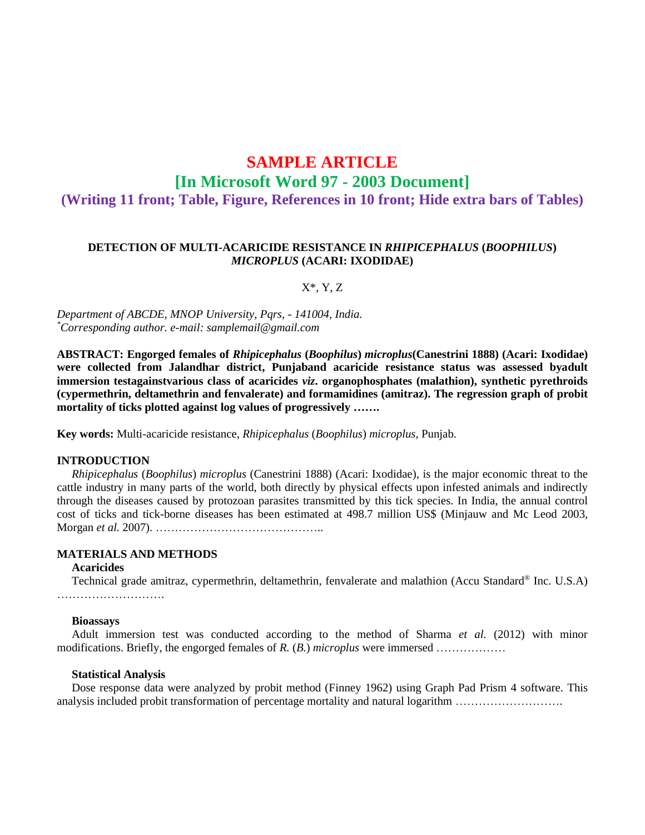# **SAMPLE ARTICLE [In Microsoft Word 97 - 2003 Document] (Writing 11 front; Table, Figure, References in 10 front; Hide extra bars of Tables)**

## **DETECTION OF MULTI-ACARICIDE RESISTANCE IN** *RHIPICEPHALUS* **(***BOOPHILUS***)** *MICROPLUS* **(ACARI: IXODIDAE)**

#### X\*, Y, Z

*Department of ABCDE, MNOP University, Pqrs, - 141004, India. \*Corresponding author. e-mail: samplemail@gmail.com*

**ABSTRACT: Engorged females of** *Rhipicephalus* **(***Boophilus***)** *microplus***(Canestrini 1888) (Acari: Ixodidae) were collected from Jalandhar district, Punjaband acaricide resistance status was assessed byadult immersion testagainstvarious class of acaricides** *viz***. organophosphates (malathion), synthetic pyrethroids (cypermethrin, deltamethrin and fenvalerate) and formamidines (amitraz). The regression graph of probit mortality of ticks plotted against log values of progressively …….**

**Key words:** Multi-acaricide resistance, *Rhipicephalus* (*Boophilus*) *microplus*, Punjab.

### **INTRODUCTION**

*Rhipicephalus* (*Boophilus*) *microplus* (Canestrini 1888) (Acari: Ixodidae), is the major economic threat to the cattle industry in many parts of the world, both directly by physical effects upon infested animals and indirectly through the diseases caused by protozoan parasites transmitted by this tick species. In India, the annual control cost of ticks and tick-borne diseases has been estimated at 498.7 million US\$ (Minjauw and Mc Leod 2003, Morgan *et al.* 2007). ……………………………………..

## **MATERIALS AND METHODS**

## **Acaricides**

Technical grade amitraz, cypermethrin, deltamethrin, fenvalerate and malathion (Accu Standard® Inc. U.S.A) ……………………….

#### **Bioassays**

Adult immersion test was conducted according to the method of Sharma *et al.* (2012) with minor modifications. Briefly, the engorged females of *R.* (*B.*) *microplus* were immersed ………………

#### **Statistical Analysis**

Dose response data were analyzed by probit method (Finney 1962) using Graph Pad Prism 4 software. This analysis included probit transformation of percentage mortality and natural logarithm ……………………….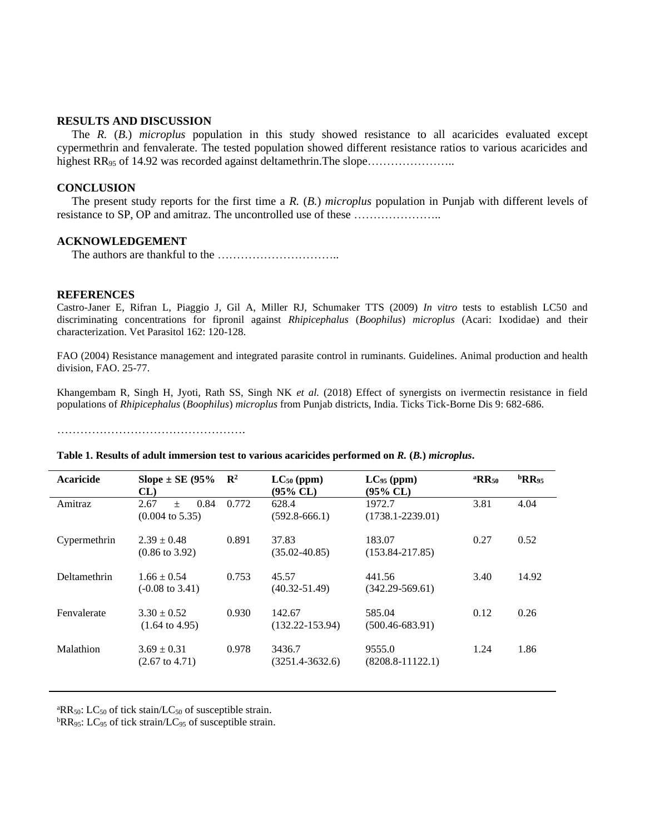## **RESULTS AND DISCUSSION**

The *R.* (*B.*) *microplus* population in this study showed resistance to all acaricides evaluated except cypermethrin and fenvalerate. The tested population showed different resistance ratios to various acaricides and highest RR<sub>95</sub> of 14.92 was recorded against deltamethrin. The slope…………………………………

## **CONCLUSION**

The present study reports for the first time a *R.* (*B.*) *microplus* population in Punjab with different levels of resistance to SP, OP and amitraz. The uncontrolled use of these …………………..

### **ACKNOWLEDGEMENT**

The authors are thankful to the …………………………..

#### **REFERENCES**

Castro-Janer E, Rifran L, Piaggio J, Gil A, Miller RJ, Schumaker TTS (2009) *In vitro* tests to establish LC50 and discriminating concentrations for fipronil against *Rhipicephalus* (*Boophilus*) *microplus* (Acari: Ixodidae) and their characterization. Vet Parasitol 162: 120-128.

FAO (2004) Resistance management and integrated parasite control in ruminants. Guidelines. Animal production and health division, FAO. 25-77.

Khangembam R, Singh H, Jyoti, Rath SS, Singh NK *et al.* (2018) Effect of synergists on ivermectin resistance in field populations of *Rhipicephalus* (*Boophilus*) *microplus* from Punjab districts, India. Ticks Tick-Borne Dis 9: 682-686.

………………………………………….

| Acaricide    | Slope $\pm$ SE (95%)<br>CL                        | $\mathbf{R}^2$ | $LC_{50}$ (ppm)<br>$(95\% \, CL)$ | $LC_{95}$ (ppm)<br>(95% CL)    | ${}^{\mathrm{a}}\mathrm{RR}_{50}$ | ${}^{\rm b}$ RR <sub>95</sub> |
|--------------|---------------------------------------------------|----------------|-----------------------------------|--------------------------------|-----------------------------------|-------------------------------|
| Amitraz      | 2.67<br>0.84<br>$+$<br>$(0.004 \text{ to } 5.35)$ | 0.772          | 628.4<br>$(592.8 - 666.1)$        | 1972.7<br>$(1738.1 - 2239.01)$ | 3.81                              | 4.04                          |
| Cypermethrin | $2.39 \pm 0.48$<br>$(0.86 \text{ to } 3.92)$      | 0.891          | 37.83<br>$(35.02 - 40.85)$        | 183.07<br>$(153.84 - 217.85)$  | 0.27                              | 0.52                          |
| Deltamethrin | $1.66 \pm 0.54$<br>$(-0.08 \text{ to } 3.41)$     | 0.753          | 45.57<br>$(40.32 - 51.49)$        | 441.56<br>$(342.29 - 569.61)$  | 3.40                              | 14.92                         |
| Fenvalerate  | $3.30 \pm 0.52$<br>$(1.64 \text{ to } 4.95)$      | 0.930          | 142.67<br>$(132.22 - 153.94)$     | 585.04<br>$(500.46 - 683.91)$  | 0.12                              | 0.26                          |
| Malathion    | $3.69 \pm 0.31$<br>$(2.67 \text{ to } 4.71)$      | 0.978          | 3436.7<br>$(3251.4 - 3632.6)$     | 9555.0<br>$(8208.8 - 11122.1)$ | 1.24                              | 1.86                          |

#### **Table 1. Results of adult immersion test to various acaricides performed on** *R.* **(***B.***)** *microplus***.**

<sup>a</sup>RR<sub>50</sub>: LC<sub>50</sub> of tick stain/LC<sub>50</sub> of susceptible strain.

 ${}^{b}RR_{95}$ : LC<sub>95</sub> of tick strain/LC<sub>95</sub> of susceptible strain.